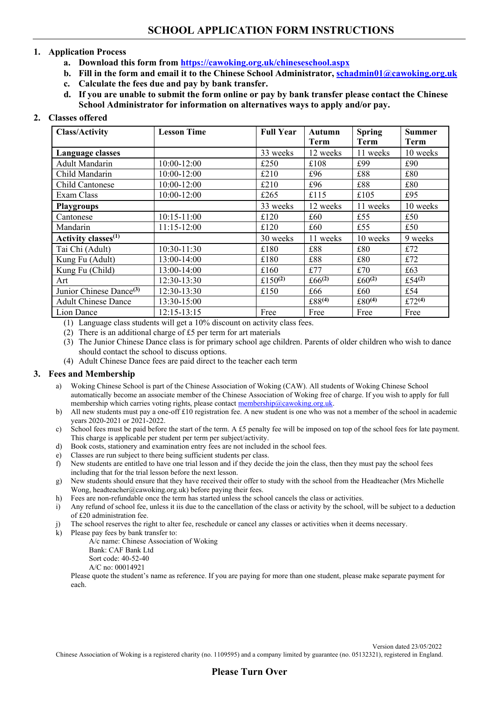# **1. Application Process**

- **a. Download this form from<https://cawoking.org.uk/chineseschool.aspx>**
- **b. Fill in the form and email it to the Chinese School Administrator, [schadmin01@cawoking.org.uk](mailto:schadmin01@cawoking.org.uk)**
- **c. Calculate the fees due and pay by bank transfer.**
- **d. If you are unable to submit the form online or pay by bank transfer please contact the Chinese School Administrator for information on alternatives ways to apply and/or pay.**

# **2. Classes offered**

| <b>Class/Activity</b>               | <b>Lesson Time</b> | <b>Full Year</b> | Autumn<br>Term     | <b>Spring</b><br>Term | <b>Summer</b><br><b>Term</b> |
|-------------------------------------|--------------------|------------------|--------------------|-----------------------|------------------------------|
| Language classes                    |                    | 33 weeks         | 12 weeks           | 11 weeks              | 10 weeks                     |
| <b>Adult Mandarin</b>               | $10:00-12:00$      | £250             | £108               | £99                   | £90                          |
| Child Mandarin                      | $10:00 - 12:00$    | £210             | £96                | £88                   | £80                          |
| Child Cantonese                     | $10:00-12:00$      | £210             | £96                | £88                   | £80                          |
| Exam Class                          | 10:00-12:00        | £265             | £115               | £105                  | £95                          |
| <b>Playgroups</b>                   |                    | 33 weeks         | 12 weeks           | 11 weeks              | 10 weeks                     |
| Cantonese                           | $10:15 - 11:00$    | £120             | £60                | £55                   | £50                          |
| Mandarin                            | $11:15-12:00$      | £120             | £60                | £55                   | £50                          |
| Activity classes <sup>(1)</sup>     |                    | 30 weeks         | 11 weeks           | 10 weeks              | 9 weeks                      |
| Tai Chi (Adult)                     | $10:30-11:30$      | £180             | £88                | £80                   | £72                          |
| Kung Fu (Adult)                     | 13:00-14:00        | £180             | £88                | £80                   | £72                          |
| Kung Fu (Child)                     | 13:00-14:00        | £160             | £77                | £70                   | £63                          |
| Art                                 | 12:30-13:30        | £150 $(2)$       | £66 $(2)$          | £60 $(2)$             | £54 $(2)$                    |
| Junior Chinese Dance <sup>(3)</sup> | 12:30-13:30        | £150             | £66                | £60                   | £54                          |
| <b>Adult Chinese Dance</b>          | 13:30-15:00        |                  | £88 <sup>(4)</sup> | £ $80^{(4)}$          | £72 $(4)$                    |
| Lion Dance                          | $12:15 - 13:15$    | Free             | Free               | Free                  | Free                         |

(1) Language class students will get a 10% discount on activity class fees.

(2) There is an additional charge of £5 per term for art materials

(3) The Junior Chinese Dance class is for primary school age children. Parents of older children who wish to dance should contact the school to discuss options.

(4) Adult Chinese Dance fees are paid direct to the teacher each term

## **3. Fees and Membership**

- a) Woking Chinese School is part of the Chinese Association of Woking (CAW). All students of Woking Chinese School automatically become an associate member of the Chinese Association of Woking free of charge. If you wish to apply for full membership which carries voting rights, please contact [membership@cawoking.org.uk.](mailto:membership@cawoking.org.uk)
- b) All new students must pay a one-off £10 registration fee. A new student is one who was not a member of the school in academic years 2020-2021 or 2021-2022.
- c) School fees must be paid before the start of the term. A £5 penalty fee will be imposed on top of the school fees for late payment. This charge is applicable per student per term per subject/activity.
- d) Book costs, stationery and examination entry fees are not included in the school fees.
- e) Classes are run subject to there being sufficient students per class.
- f) New students are entitled to have one trial lesson and if they decide the join the class, then they must pay the school fees including that for the trial lesson before the next lesson.
- g) New students should ensure that they have received their offer to study with the school from the Headteacher (Mrs Michelle Wong, headteacher@cawoking.org.uk) before paying their fees.
- h) Fees are non-refundable once the term has started unless the school cancels the class or activities.
- i) Any refund of school fee, unless it iis due to the cancellation of the class or activity by the school, will be subject to a deduction of £20 administration fee.
- j) The school reserves the right to alter fee, reschedule or cancel any classes or activities when it deems necessary.
- k) Please pay fees by bank transfer to:

A/c name: Chinese Association of Woking Bank: CAF Bank Ltd Sort code: 40-52-40 A/C no: 00014921

Please quote the student's name as reference. If you are paying for more than one student, please make separate payment for each.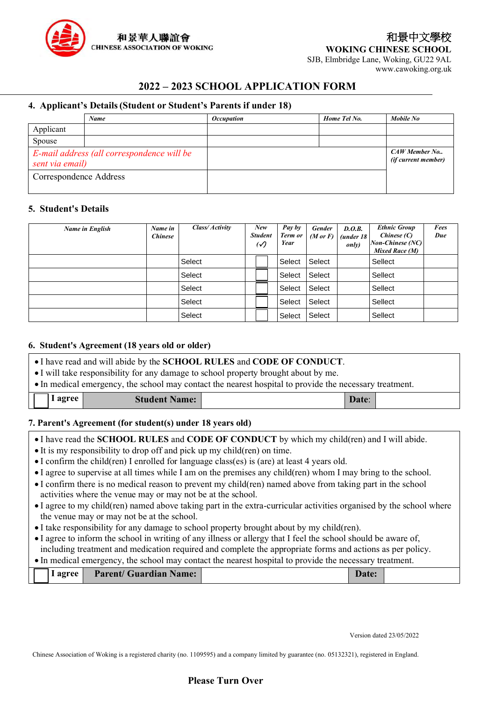

www.cawoking.org.uk

# **2022 – 2023 SCHOOL APPLICATION FORM**

# **4. Applicant's Details(Student or Student's Parents if under 18)**

|                        | Name                                       | <i><b>Occupation</b></i> | Home Tel No. | Mobile No                                   |
|------------------------|--------------------------------------------|--------------------------|--------------|---------------------------------------------|
| Applicant              |                                            |                          |              |                                             |
| Spouse                 |                                            |                          |              |                                             |
| sent via email)        | E-mail address (all correspondence will be |                          |              | CAW Member No<br><i>(if current member)</i> |
| Correspondence Address |                                            |                          |              |                                             |

## **5. Student's Details**

| Name in English | Name in<br><b>Chinese</b> | Class/ Activity | New<br><b>Student</b><br>$\cal{O}$ | Pay by<br>Term or<br>Year | <b>Gender</b><br>$(M \text{ or } F)$ | D.O.B.<br>(under 18<br><i>only</i> ) | <b>Ethnic Group</b><br>Chinese (C)<br><b>Non-Chinese</b> (NC)<br>Mixed Race (M) | Fees<br>Due |
|-----------------|---------------------------|-----------------|------------------------------------|---------------------------|--------------------------------------|--------------------------------------|---------------------------------------------------------------------------------|-------------|
|                 |                           | Select          |                                    | Select                    | Select                               |                                      | Sellect                                                                         |             |
|                 |                           | Select          |                                    | Select                    | Select                               |                                      | Sellect                                                                         |             |
|                 |                           | Select          |                                    | Select                    | Select                               |                                      | Sellect                                                                         |             |
|                 |                           | Select          |                                    | Select                    | Select                               |                                      | Sellect                                                                         |             |
|                 |                           | Select          |                                    | Select                    | Select                               |                                      | Sellect                                                                         |             |

#### **6. Student's Agreement (18 years old or older)**

• I will take responsibility for any damage to school property brought about by me.

• In medical emergency, the school may contact the nearest hospital to provide the necessary treatment.

| I agree<br><b>Student Name:</b> |  | Date: |  |
|---------------------------------|--|-------|--|
|---------------------------------|--|-------|--|

## **7. Parent's Agreement (for student(s) under 18 years old)**

| • I have read the <b>SCHOOL RULES</b> and <b>CODE OF CONDUCT</b> by which my child(ren) and I will abide. |
|-----------------------------------------------------------------------------------------------------------|
|-----------------------------------------------------------------------------------------------------------|

- It is my responsibility to drop off and pick up my child(ren) on time.
- I confirm the child(ren) I enrolled for language class(es) is (are) at least 4 years old.
- I agree to supervise at all times while I am on the premises any child(ren) whom I may bring to the school.
- I confirm there is no medical reason to prevent my child(ren) named above from taking part in the school activities where the venue may or may not be at the school.
- I agree to my child(ren) named above taking part in the extra-curricular activities organised by the school where the venue may or may not be at the school.
- I take responsibility for any damage to school property brought about by my child(ren).
- I agree to inform the school in writing of any illness or allergy that I feel the school should be aware of, including treatment and medication required and complete the appropriate forms and actions as per policy.

# • In medical emergency, the school may contact the nearest hospital to provide the necessary treatment.

|  | $\blacksquare$ agree | <b>Parent/ Guardian Name:</b> | <b>Date:</b> |  |
|--|----------------------|-------------------------------|--------------|--|
|--|----------------------|-------------------------------|--------------|--|